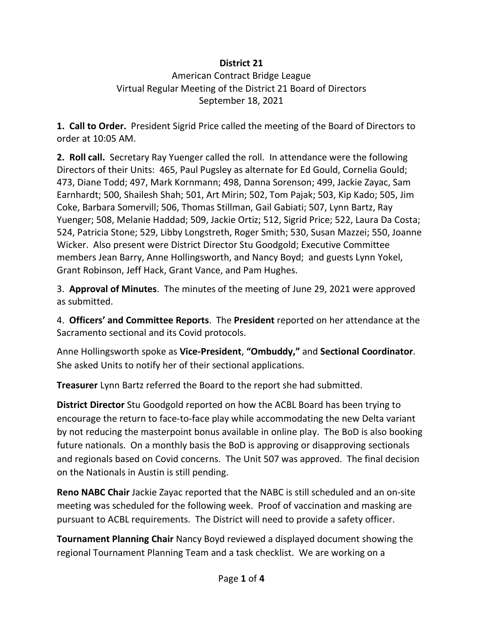## **District 21**

## American Contract Bridge League Virtual Regular Meeting of the District 21 Board of Directors September 18, 2021

**1. Call to Order.** President Sigrid Price called the meeting of the Board of Directors to order at 10:05 AM.

**2. Roll call.** Secretary Ray Yuenger called the roll. In attendance were the following Directors of their Units: 465, Paul Pugsley as alternate for Ed Gould, Cornelia Gould; 473, Diane Todd; 497, Mark Kornmann; 498, Danna Sorenson; 499, Jackie Zayac, Sam Earnhardt; 500, Shailesh Shah; 501, Art Mirin; 502, Tom Pajak; 503, Kip Kado; 505, Jim Coke, Barbara Somervill; 506, Thomas Stillman, Gail Gabiati; 507, Lynn Bartz, Ray Yuenger; 508, Melanie Haddad; 509, Jackie Ortiz; 512, Sigrid Price; 522, Laura Da Costa; 524, Patricia Stone; 529, Libby Longstreth, Roger Smith; 530, Susan Mazzei; 550, Joanne Wicker. Also present were District Director Stu Goodgold; Executive Committee members Jean Barry, Anne Hollingsworth, and Nancy Boyd; and guests Lynn Yokel, Grant Robinson, Jeff Hack, Grant Vance, and Pam Hughes.

3. **Approval of Minutes**. The minutes of the meeting of June 29, 2021 were approved as submitted.

4. **Officers' and Committee Reports**. The **President** reported on her attendance at the Sacramento sectional and its Covid protocols.

Anne Hollingsworth spoke as **Vice-President**, **"Ombuddy,"** and **Sectional Coordinator**. She asked Units to notify her of their sectional applications.

**Treasurer** Lynn Bartz referred the Board to the report she had submitted.

**District Director** Stu Goodgold reported on how the ACBL Board has been trying to encourage the return to face-to-face play while accommodating the new Delta variant by not reducing the masterpoint bonus available in online play. The BoD is also booking future nationals. On a monthly basis the BoD is approving or disapproving sectionals and regionals based on Covid concerns. The Unit 507 was approved. The final decision on the Nationals in Austin is still pending.

**Reno NABC Chair** Jackie Zayac reported that the NABC is still scheduled and an on-site meeting was scheduled for the following week. Proof of vaccination and masking are pursuant to ACBL requirements. The District will need to provide a safety officer.

**Tournament Planning Chair** Nancy Boyd reviewed a displayed document showing the regional Tournament Planning Team and a task checklist. We are working on a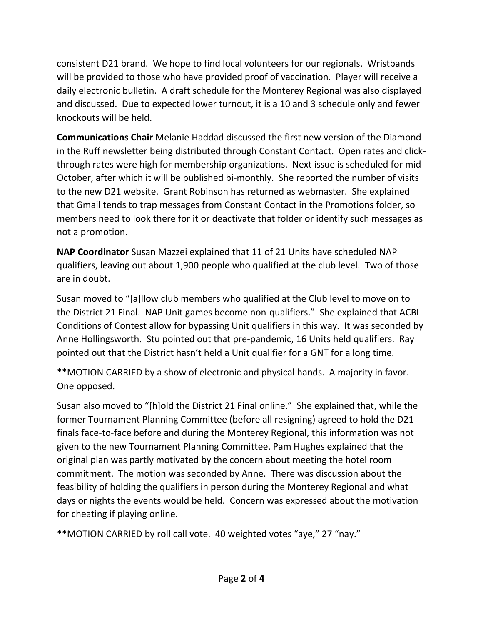consistent D21 brand. We hope to find local volunteers for our regionals. Wristbands will be provided to those who have provided proof of vaccination. Player will receive a daily electronic bulletin. A draft schedule for the Monterey Regional was also displayed and discussed. Due to expected lower turnout, it is a 10 and 3 schedule only and fewer knockouts will be held.

**Communications Chair** Melanie Haddad discussed the first new version of the Diamond in the Ruff newsletter being distributed through Constant Contact. Open rates and clickthrough rates were high for membership organizations. Next issue is scheduled for mid-October, after which it will be published bi-monthly. She reported the number of visits to the new D21 website. Grant Robinson has returned as webmaster. She explained that Gmail tends to trap messages from Constant Contact in the Promotions folder, so members need to look there for it or deactivate that folder or identify such messages as not a promotion.

**NAP Coordinator** Susan Mazzei explained that 11 of 21 Units have scheduled NAP qualifiers, leaving out about 1,900 people who qualified at the club level. Two of those are in doubt.

Susan moved to "[a]llow club members who qualified at the Club level to move on to the District 21 Final. NAP Unit games become non-qualifiers." She explained that ACBL Conditions of Contest allow for bypassing Unit qualifiers in this way. It was seconded by Anne Hollingsworth. Stu pointed out that pre-pandemic, 16 Units held qualifiers. Ray pointed out that the District hasn't held a Unit qualifier for a GNT for a long time.

\*\*MOTION CARRIED by a show of electronic and physical hands. A majority in favor. One opposed.

Susan also moved to "[h]old the District 21 Final online." She explained that, while the former Tournament Planning Committee (before all resigning) agreed to hold the D21 finals face-to-face before and during the Monterey Regional, this information was not given to the new Tournament Planning Committee. Pam Hughes explained that the original plan was partly motivated by the concern about meeting the hotel room commitment. The motion was seconded by Anne. There was discussion about the feasibility of holding the qualifiers in person during the Monterey Regional and what days or nights the events would be held. Concern was expressed about the motivation for cheating if playing online.

\*\*MOTION CARRIED by roll call vote. 40 weighted votes "aye," 27 "nay."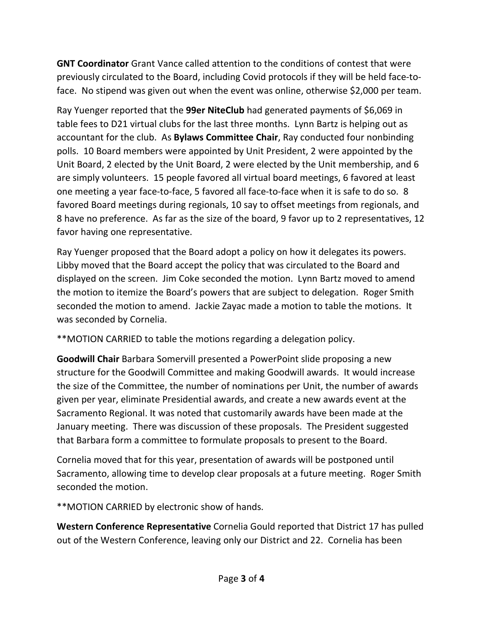**GNT Coordinator** Grant Vance called attention to the conditions of contest that were previously circulated to the Board, including Covid protocols if they will be held face-toface. No stipend was given out when the event was online, otherwise \$2,000 per team.

Ray Yuenger reported that the **99er NiteClub** had generated payments of \$6,069 in table fees to D21 virtual clubs for the last three months. Lynn Bartz is helping out as accountant for the club. As **Bylaws Committee Chair**, Ray conducted four nonbinding polls. 10 Board members were appointed by Unit President, 2 were appointed by the Unit Board, 2 elected by the Unit Board, 2 were elected by the Unit membership, and 6 are simply volunteers. 15 people favored all virtual board meetings, 6 favored at least one meeting a year face-to-face, 5 favored all face-to-face when it is safe to do so. 8 favored Board meetings during regionals, 10 say to offset meetings from regionals, and 8 have no preference. As far as the size of the board, 9 favor up to 2 representatives, 12 favor having one representative.

Ray Yuenger proposed that the Board adopt a policy on how it delegates its powers. Libby moved that the Board accept the policy that was circulated to the Board and displayed on the screen. Jim Coke seconded the motion. Lynn Bartz moved to amend the motion to itemize the Board's powers that are subject to delegation. Roger Smith seconded the motion to amend. Jackie Zayac made a motion to table the motions. It was seconded by Cornelia.

\*\*MOTION CARRIED to table the motions regarding a delegation policy.

**Goodwill Chair** Barbara Somervill presented a PowerPoint slide proposing a new structure for the Goodwill Committee and making Goodwill awards. It would increase the size of the Committee, the number of nominations per Unit, the number of awards given per year, eliminate Presidential awards, and create a new awards event at the Sacramento Regional. It was noted that customarily awards have been made at the January meeting. There was discussion of these proposals. The President suggested that Barbara form a committee to formulate proposals to present to the Board.

Cornelia moved that for this year, presentation of awards will be postponed until Sacramento, allowing time to develop clear proposals at a future meeting. Roger Smith seconded the motion.

\*\*MOTION CARRIED by electronic show of hands.

**Western Conference Representative** Cornelia Gould reported that District 17 has pulled out of the Western Conference, leaving only our District and 22. Cornelia has been